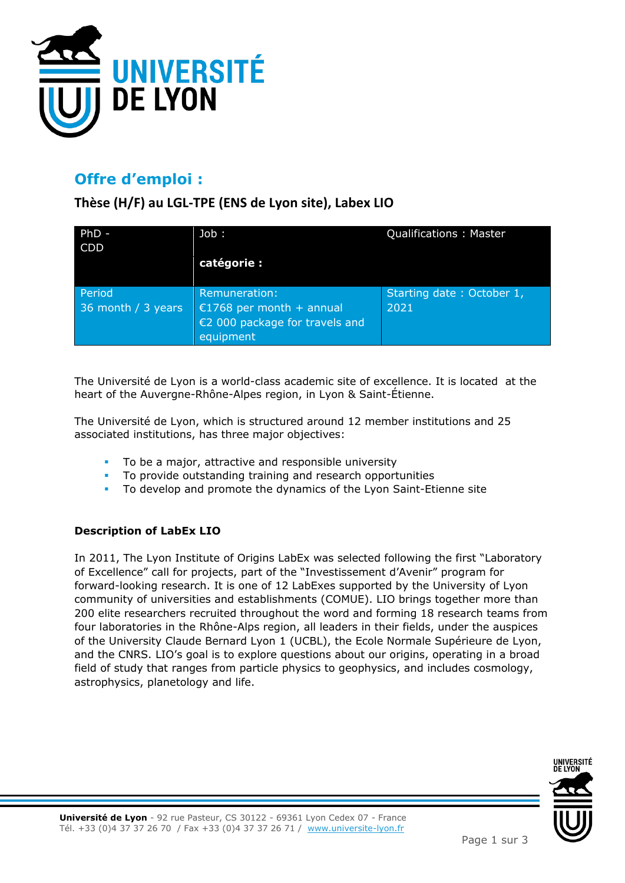

# **Offre d'emploi :**

**Thèse (H/F) au LGL-TPE (ENS de Lyon site), Labex LIO**

| $PhD -$            | Job :                          | <b>Qualifications: Master</b> |
|--------------------|--------------------------------|-------------------------------|
| <b>CDD</b>         |                                |                               |
|                    | catégorie :                    |                               |
|                    |                                |                               |
| Period             | Remuneration:                  | Starting date: October 1,     |
| 36 month / 3 years | €1768 per month + annual       | 2021                          |
|                    | €2 000 package for travels and |                               |
|                    | equipment                      |                               |

The Université de Lyon is a world-class academic site of excellence. It is located at the heart of the Auvergne-Rhône-Alpes region, in Lyon & Saint-Étienne.

The Université de Lyon, which is structured around 12 member institutions and 25 associated institutions, has three major objectives:

- To be a major, attractive and responsible university
- To provide outstanding training and research opportunities
- To develop and promote the dynamics of the Lyon Saint-Etienne site

#### **Description of LabEx LIO**

In 2011, The Lyon Institute of Origins LabEx was selected following the first "Laboratory of Excellence" call for projects, part of the "Investissement d'Avenir" program for forward-looking research. It is one of 12 LabExes supported by the University of Lyon community of universities and establishments (COMUE). LIO brings together more than 200 elite researchers recruited throughout the word and forming 18 research teams from four laboratories in the Rhône-Alps region, all leaders in their fields, under the auspices of the University Claude Bernard Lyon 1 (UCBL), the Ecole Normale Supérieure de Lyon, and the CNRS. LIO's goal is to explore questions about our origins, operating in a broad field of study that ranges from particle physics to geophysics, and includes cosmology, astrophysics, planetology and life.

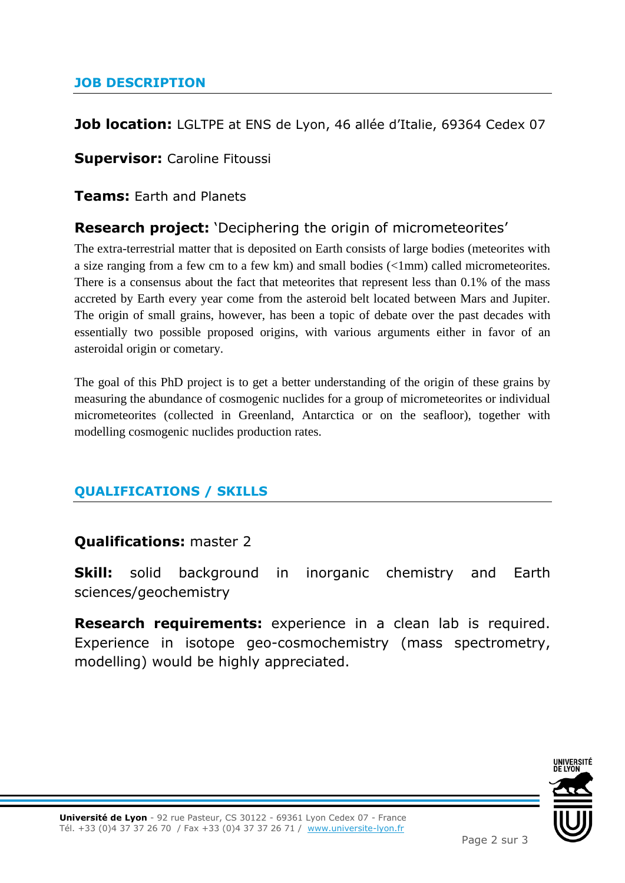#### **JOB DESCRIPTION**

#### **Job location:** LGLTPE at ENS de Lyon, 46 allée d'Italie, 69364 Cedex 07

**Supervisor:** Caroline Fitoussi

**Teams:** Earth and Planets

## **Research project:** 'Deciphering the origin of micrometeorites'

The extra-terrestrial matter that is deposited on Earth consists of large bodies (meteorites with a size ranging from a few cm to a few km) and small bodies (<1mm) called micrometeorites. There is a consensus about the fact that meteorites that represent less than 0.1% of the mass accreted by Earth every year come from the asteroid belt located between Mars and Jupiter. The origin of small grains, however, has been a topic of debate over the past decades with essentially two possible proposed origins, with various arguments either in favor of an asteroidal origin or cometary.

The goal of this PhD project is to get a better understanding of the origin of these grains by measuring the abundance of cosmogenic nuclides for a group of micrometeorites or individual micrometeorites (collected in Greenland, Antarctica or on the seafloor), together with modelling cosmogenic nuclides production rates.

#### **QUALIFICATIONS / SKILLS**

#### **Qualifications:** master 2

**Skill:** solid background in inorganic chemistry and Earth sciences/geochemistry

**Research requirements:** experience in a clean lab is required. Experience in isotope geo-cosmochemistry (mass spectrometry, modelling) would be highly appreciated.